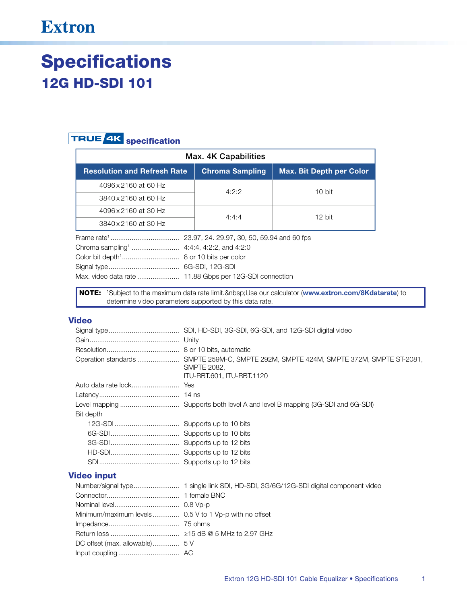## **Extron**

# **Specifications 12G HD-SDI 101**

### **TRUE 4K** specification

| Max. 4K Capabilities               |                        |                                 |  |  |  |
|------------------------------------|------------------------|---------------------------------|--|--|--|
| <b>Resolution and Refresh Rate</b> | <b>Chroma Sampling</b> | <b>Max. Bit Depth per Color</b> |  |  |  |
| 4096 x 2160 at 60 Hz               | 4:2:2                  | 10 bit                          |  |  |  |
| 3840 x 2160 at 60 Hz               |                        |                                 |  |  |  |
| 4096 x 2160 at 30 Hz               | 4:4:4                  | 12 bit                          |  |  |  |
| 3840 x 2160 at 30 Hz               |                        |                                 |  |  |  |
|                                    |                        |                                 |  |  |  |
|                                    |                        |                                 |  |  |  |
| 8 or 10 bits per color             |                        |                                 |  |  |  |
|                                    | 6G-SDI, 12G-SDI        |                                 |  |  |  |
|                                    |                        |                                 |  |  |  |

NOTE: 1Subject to the maximum data rate limit. Use our calculator (www.extron.com/8Kdatarate) to determine video parameters supported by this data rate.

#### **Video**

|             | <b>SMPTE 2082.</b><br>ITU-RBT.601, ITU-RBT.1120                                                                                                                                                                                                                                                                                                                                      |
|-------------|--------------------------------------------------------------------------------------------------------------------------------------------------------------------------------------------------------------------------------------------------------------------------------------------------------------------------------------------------------------------------------------|
|             |                                                                                                                                                                                                                                                                                                                                                                                      |
|             |                                                                                                                                                                                                                                                                                                                                                                                      |
|             |                                                                                                                                                                                                                                                                                                                                                                                      |
| Bit depth   |                                                                                                                                                                                                                                                                                                                                                                                      |
|             |                                                                                                                                                                                                                                                                                                                                                                                      |
|             |                                                                                                                                                                                                                                                                                                                                                                                      |
|             |                                                                                                                                                                                                                                                                                                                                                                                      |
|             |                                                                                                                                                                                                                                                                                                                                                                                      |
|             |                                                                                                                                                                                                                                                                                                                                                                                      |
| 'ideo input |                                                                                                                                                                                                                                                                                                                                                                                      |
|             | $\overline{a}$ $\overline{b}$ $\overline{c}$ $\overline{c}$ $\overline{c}$ $\overline{c}$ $\overline{c}$ $\overline{c}$ $\overline{c}$ $\overline{c}$ $\overline{c}$ $\overline{c}$ $\overline{c}$ $\overline{c}$ $\overline{c}$ $\overline{c}$ $\overline{c}$ $\overline{c}$ $\overline{c}$ $\overline{c}$ $\overline{c}$ $\overline{c}$ $\overline{c}$ $\overline{c}$ $\overline{$ |

### $\mathbf v$ Number/signal type.......................... 1 single link SDI, HD-SDI, 3G/6G/12G-SDI digital component video Minimum/maximum levels.............. 0.5 V to 1 Vp-p with no offset DC offset (max. allowable)............... 5 V